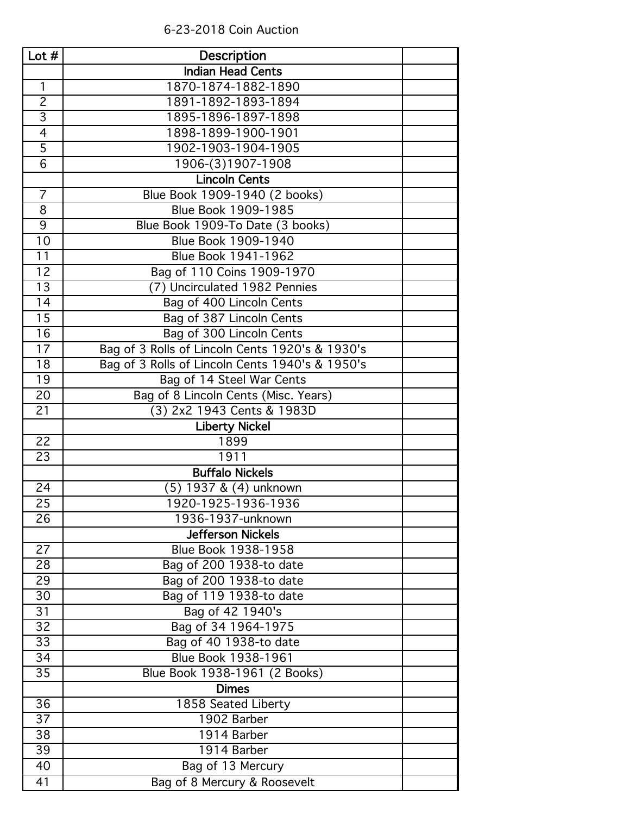| Lot $#$         | <b>Description</b>                              |  |
|-----------------|-------------------------------------------------|--|
|                 | <b>Indian Head Cents</b>                        |  |
| 1               | 1870-1874-1882-1890                             |  |
| $\overline{2}$  | 1891-1892-1893-1894                             |  |
| $\overline{3}$  | 1895-1896-1897-1898                             |  |
| $\overline{4}$  | 1898-1899-1900-1901                             |  |
| $\overline{5}$  | 1902-1903-1904-1905                             |  |
| $\overline{6}$  | 1906-(3)1907-1908                               |  |
|                 | <b>Lincoln Cents</b>                            |  |
| $\overline{7}$  | Blue Book 1909-1940 (2 books)                   |  |
| 8               | Blue Book 1909-1985                             |  |
| 9               | Blue Book 1909-To Date (3 books)                |  |
| 10              | Blue Book 1909-1940                             |  |
| 11              | Blue Book 1941-1962                             |  |
| 12              | Bag of 110 Coins 1909-1970                      |  |
| 13              | (7) Uncirculated 1982 Pennies                   |  |
| 14              | Bag of 400 Lincoln Cents                        |  |
| 15              | Bag of 387 Lincoln Cents                        |  |
| 16              | Bag of 300 Lincoln Cents                        |  |
| 17              | Bag of 3 Rolls of Lincoln Cents 1920's & 1930's |  |
| 18              | Bag of 3 Rolls of Lincoln Cents 1940's & 1950's |  |
| 19              | Bag of 14 Steel War Cents                       |  |
| $\overline{2}0$ | Bag of 8 Lincoln Cents (Misc. Years)            |  |
| 21              | (3) 2x2 1943 Cents & 1983D                      |  |
|                 | <b>Liberty Nickel</b>                           |  |
| 22              | 1899                                            |  |
| 23              | 1911                                            |  |
|                 | <b>Buffalo Nickels</b>                          |  |
| 24              | (5) 1937 & (4) unknown                          |  |
| 25              | 1920-1925-1936-1936                             |  |
| 26              | 1936-1937-unknown                               |  |
|                 | <b>Jefferson Nickels</b>                        |  |
| 27              | Blue Book 1938-1958                             |  |
| 28              | Bag of 200 1938-to date                         |  |
| 29              | Bag of 200 1938-to date                         |  |
| 30              | Bag of 119 1938-to date                         |  |
| 31              | Bag of 42 1940's                                |  |
| 32              | Bag of 34 1964-1975                             |  |
| 33              | Bag of 40 1938-to date                          |  |
| 34              | Blue Book 1938-1961                             |  |
| 35              | Blue Book 1938-1961 (2 Books)                   |  |
|                 | <b>Dimes</b>                                    |  |
| 36              | 1858 Seated Liberty                             |  |
| 37              | 1902 Barber                                     |  |
| 38              | 1914 Barber                                     |  |
| 39              | 1914 Barber                                     |  |
| 40              | Bag of 13 Mercury                               |  |
| 41              | Bag of 8 Mercury & Roosevelt                    |  |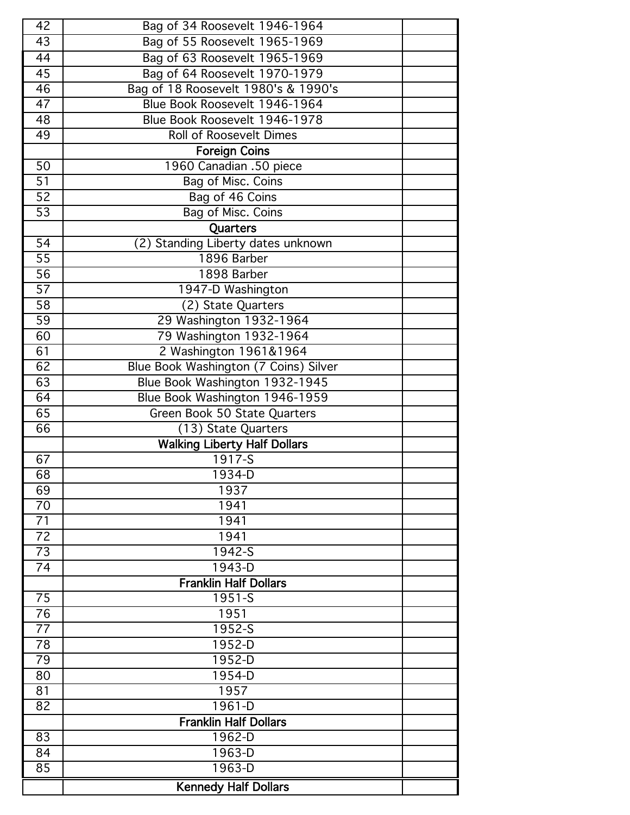| 42              | Bag of 34 Roosevelt 1946-1964         |  |
|-----------------|---------------------------------------|--|
| 43              | Bag of 55 Roosevelt 1965-1969         |  |
| 44              | Bag of 63 Roosevelt 1965-1969         |  |
| 45              | Bag of 64 Roosevelt 1970-1979         |  |
| $\overline{46}$ | Bag of 18 Roosevelt 1980's & 1990's   |  |
| $\overline{47}$ | Blue Book Roosevelt 1946-1964         |  |
| 48              | Blue Book Roosevelt 1946-1978         |  |
| 49              | <b>Roll of Roosevelt Dimes</b>        |  |
|                 | <b>Foreign Coins</b>                  |  |
| 50              | 1960 Canadian .50 piece               |  |
| $\overline{51}$ | Bag of Misc. Coins                    |  |
| $\overline{52}$ | Bag of 46 Coins                       |  |
| $\overline{53}$ | Bag of Misc. Coins                    |  |
|                 | <b>Quarters</b>                       |  |
| $\overline{54}$ | (2) Standing Liberty dates unknown    |  |
| $\overline{55}$ | 1896 Barber                           |  |
| $\overline{56}$ | 1898 Barber                           |  |
| $\overline{57}$ | 1947-D Washington                     |  |
| $\overline{58}$ | (2) State Quarters                    |  |
| $\overline{59}$ | 29 Washington 1932-1964               |  |
| 60              | 79 Washington 1932-1964               |  |
| 61              | 2 Washington 1961&1964                |  |
| 62              | Blue Book Washington (7 Coins) Silver |  |
| 63              | Blue Book Washington 1932-1945        |  |
| 64              | Blue Book Washington 1946-1959        |  |
| 65              | Green Book 50 State Quarters          |  |
| 66              | (13) State Quarters                   |  |
|                 | <b>Walking Liberty Half Dollars</b>   |  |
| 67              | $1917 - S$                            |  |
| 68              | 1934-D                                |  |
| 69              | 1937                                  |  |
| 70              | 1941                                  |  |
| 71              | 1941                                  |  |
| 72              | 1941                                  |  |
| 73              | $1942 - S$                            |  |
| 74              | 1943-D                                |  |
|                 | <b>Franklin Half Dollars</b>          |  |
| 75              | 1951-S<br>1951                        |  |
| 76<br>77        |                                       |  |
|                 | 1952-S<br>1952-D                      |  |
| 78              |                                       |  |
| 79<br>80        | 1952-D<br>1954-D                      |  |
| 81              | 1957                                  |  |
| 82              | $1961 - D$                            |  |
|                 | <b>Franklin Half Dollars</b>          |  |
| 83              | 1962-D                                |  |
| 84              | 1963-D                                |  |
| 85              | 1963-D                                |  |
|                 |                                       |  |
|                 | <b>Kennedy Half Dollars</b>           |  |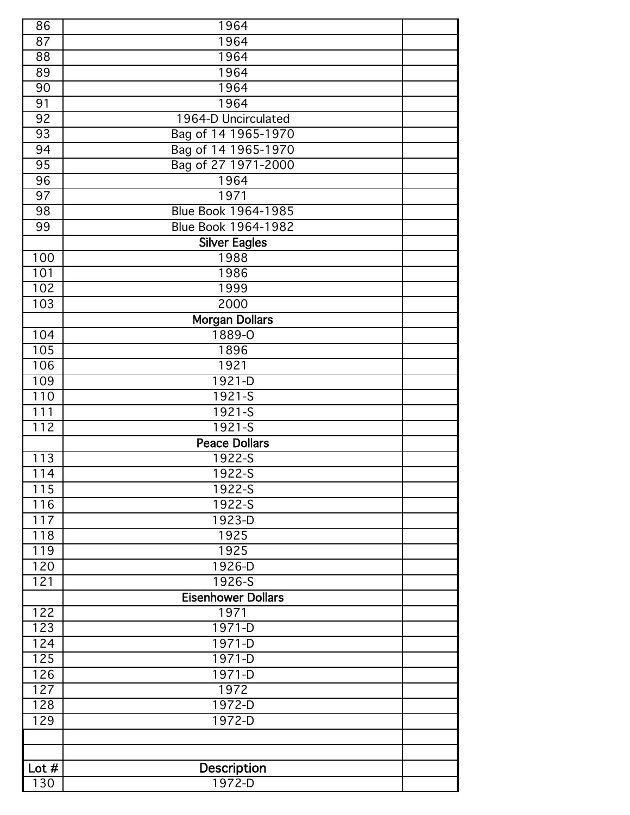| 86      | 1964                       |  |
|---------|----------------------------|--|
| 87      | 1964                       |  |
| 88      | 1964                       |  |
| 89      | 1964                       |  |
| 90      | 1964                       |  |
| 91      | 1964                       |  |
| 92      | 1964-D Uncirculated        |  |
| 93      | Bag of 14 1965-1970        |  |
| 94      | Bag of 14 1965-1970        |  |
| 95      | Bag of 27 1971-2000        |  |
| 96      | 1964                       |  |
| 97      | 1971                       |  |
| 98      | <b>Blue Book 1964-1985</b> |  |
| 99      | Blue Book 1964-1982        |  |
|         | <b>Silver Eagles</b>       |  |
| 100     | 1988                       |  |
| 101     | 1986                       |  |
| 102     | 1999                       |  |
| 103     | 2000                       |  |
|         | <b>Morgan Dollars</b>      |  |
| 104     | 1889-0                     |  |
| 105     | 1896                       |  |
| 106     | 1921                       |  |
| 109     | 1921-D                     |  |
| 110     | $1921 - S$                 |  |
| 111     | 1921-S                     |  |
| 112     | $1921 - S$                 |  |
|         | <b>Peace Dollars</b>       |  |
| 113     | $1922 - S$                 |  |
| 114     | 1922-S                     |  |
| 115     | 1922-S                     |  |
| 116     | 1922-S                     |  |
| 117     | 1923-D                     |  |
| 118     | 1925                       |  |
| 119     | 1925                       |  |
| 120     | 1926-D                     |  |
| 121     | $1926 - S$                 |  |
|         | <b>Eisenhower Dollars</b>  |  |
| 122     | 1971                       |  |
| 123     | 1971-D                     |  |
| 124     | $1971 - D$                 |  |
| 125     | 1971-D                     |  |
| 126     | $1971 - D$                 |  |
| 127     | 1972                       |  |
| 128     | $1972-D$                   |  |
| 129     | 1972-D                     |  |
|         |                            |  |
|         |                            |  |
| Lot $#$ | Description                |  |
| 130     | $1972-D$                   |  |
|         |                            |  |